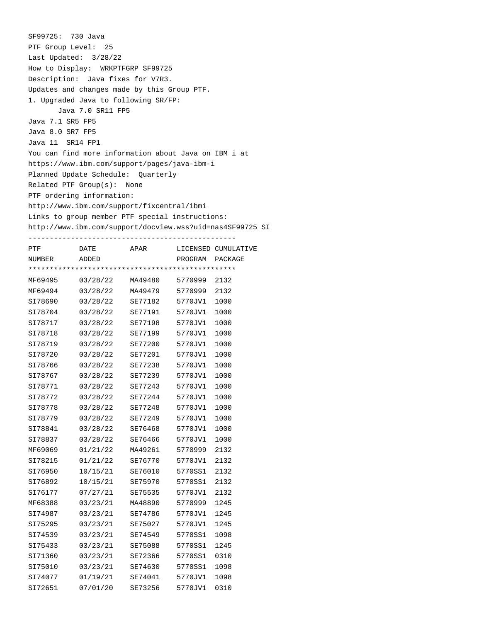| SF99725: 730 Java                                                                       |
|-----------------------------------------------------------------------------------------|
| PTF Group Level: 25                                                                     |
| Last Updated: $3/28/22$                                                                 |
| How to Display: WRKPTFGRP SF99725                                                       |
| Description: Java fixes for V7R3.                                                       |
| Updates and changes made by this Group PTF.                                             |
| 1. Upgraded Java to following SR/FP:                                                    |
| Java 7.0 SR11 FP5                                                                       |
| Java 7.1 SR5 FP5                                                                        |
| Java 8.0 SR7 FP5                                                                        |
| Java 11 SR14 FP1                                                                        |
| You can find more information about Java on IBM i at                                    |
| https://www.ibm.com/support/pages/java-ibm-i                                            |
| Planned Update Schedule: Ouarterly                                                      |
| $Related$ PTF $Group(s):$ None                                                          |
| PTF ordering information:                                                               |
| http://www.ibm.com/support/fixcentral/ibmi                                              |
| Links to group member PTF special instructions:                                         |
| http://www.ibm.com/support/docview.wss?uid=nas4SF99725_SI                               |
| _____________________________________<br>APAR LICENSED CUMULATIVE<br>PTF<br><b>DATE</b> |

| NUMBER  | ADDED    |         | PROGRAM | PACKAGE |  |  |  |
|---------|----------|---------|---------|---------|--|--|--|
|         |          |         |         |         |  |  |  |
| MF69495 | 03/28/22 | MA49480 | 5770999 | 2132    |  |  |  |
| MF69494 | 03/28/22 | MA49479 | 5770999 | 2132    |  |  |  |
| SI78690 | 03/28/22 | SE77182 | 5770JV1 | 1000    |  |  |  |
| SI78704 | 03/28/22 | SE77191 | 5770JV1 | 1000    |  |  |  |
| SI78717 | 03/28/22 | SE77198 | 5770JV1 | 1000    |  |  |  |
| SI78718 | 03/28/22 | SE77199 | 5770JV1 | 1000    |  |  |  |
| SI78719 | 03/28/22 | SE77200 | 5770JV1 | 1000    |  |  |  |
| SI78720 | 03/28/22 | SE77201 | 5770JV1 | 1000    |  |  |  |
| SI78766 | 03/28/22 | SE77238 | 5770JV1 | 1000    |  |  |  |
| SI78767 | 03/28/22 | SE77239 | 5770JV1 | 1000    |  |  |  |
| SI78771 | 03/28/22 | SE77243 | 5770JV1 | 1000    |  |  |  |
| SI78772 | 03/28/22 | SE77244 | 5770JV1 | 1000    |  |  |  |
| SI78778 | 03/28/22 | SE77248 | 5770JV1 | 1000    |  |  |  |
| SI78779 | 03/28/22 | SE77249 | 5770JV1 | 1000    |  |  |  |
| SI78841 | 03/28/22 | SE76468 | 5770JV1 | 1000    |  |  |  |
| SI78837 | 03/28/22 | SE76466 | 5770JV1 | 1000    |  |  |  |
| MF69069 | 01/21/22 | MA49261 | 5770999 | 2132    |  |  |  |
| SI78215 | 01/21/22 | SE76770 | 5770JV1 | 2132    |  |  |  |
| SI76950 | 10/15/21 | SE76010 | 5770SS1 | 2132    |  |  |  |
| SI76892 | 10/15/21 | SE75970 | 5770SS1 | 2132    |  |  |  |
| SI76177 | 07/27/21 | SE75535 | 5770JV1 | 2132    |  |  |  |
| MF68388 | 03/23/21 | MA48890 | 5770999 | 1245    |  |  |  |
| SI74987 | 03/23/21 | SE74786 | 5770JV1 | 1245    |  |  |  |
| SI75295 | 03/23/21 | SE75027 | 5770JV1 | 1245    |  |  |  |
| SI74539 | 03/23/21 | SE74549 | 5770SS1 | 1098    |  |  |  |
| SI75433 | 03/23/21 | SE75088 | 5770SS1 | 1245    |  |  |  |
| SI71360 | 03/23/21 | SE72366 | 5770SS1 | 0310    |  |  |  |
| SI75010 | 03/23/21 | SE74630 | 5770SS1 | 1098    |  |  |  |
| SI74077 | 01/19/21 | SE74041 | 5770JV1 | 1098    |  |  |  |
| SI72651 | 07/01/20 | SE73256 | 5770JV1 | 0310    |  |  |  |